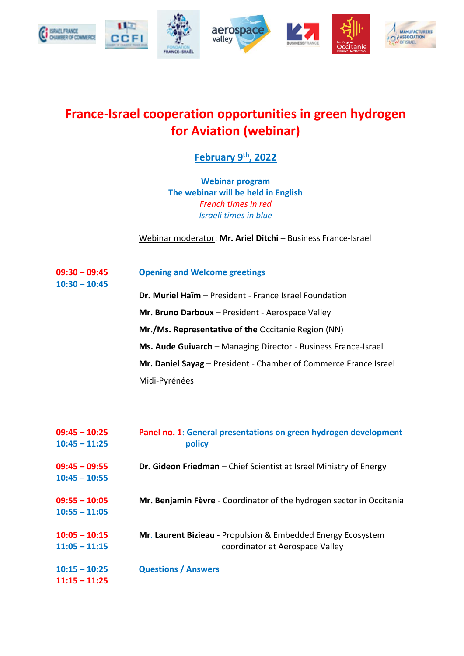

## **France-Israel cooperation opportunities in green hydrogen for Aviation (webinar)**

## **February 9th, 2022**

**Webinar program The webinar will be held in English** *French times in red Israeli times in blue*

Webinar moderator: **Mr. Ariel Ditchi** – Business France-Israel

## **09:30 – 09:45 Opening and Welcome greetings**

**10:30 – 10:45**

**Dr. Muriel Haïm** – President - France Israel Foundation **Mr. Bruno Darboux** – President - Aerospace Valley **Mr./Ms. Representative of the** Occitanie Region (NN) **Ms. Aude Guivarch** – Managing Director - Business France-Israel **Mr. Daniel Sayag** – President - Chamber of Commerce France Israel Midi-Pyrénées

| $09:45 - 10:25$<br>$10:45 - 11:25$ | Panel no. 1: General presentations on green hydrogen development<br>policy                      |
|------------------------------------|-------------------------------------------------------------------------------------------------|
| $09:45 - 09:55$<br>$10:45 - 10:55$ | Dr. Gideon Friedman - Chief Scientist at Israel Ministry of Energy                              |
| $09:55 - 10:05$<br>$10:55 - 11:05$ | Mr. Benjamin Fèvre - Coordinator of the hydrogen sector in Occitania                            |
| $10:05 - 10:15$<br>$11:05 - 11:15$ | Mr. Laurent Bizieau - Propulsion & Embedded Energy Ecosystem<br>coordinator at Aerospace Valley |
| $10:15 - 10:25$<br>$11:15 - 11:25$ | <b>Questions / Answers</b>                                                                      |